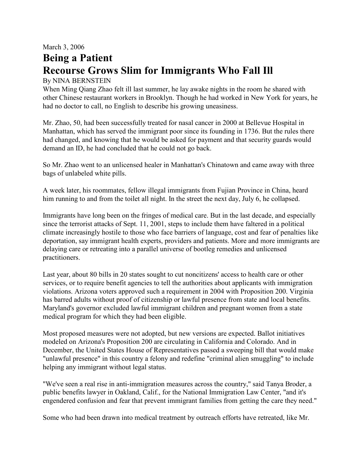## March 3, 2006 **Being a Patient Recourse Grows Slim for Immigrants Who Fall Ill**

By NINA BERNSTEIN

When Ming Qiang Zhao felt ill last summer, he lay awake nights in the room he shared with other Chinese restaurant workers in Brooklyn. Though he had worked in New York for years, he had no doctor to call, no English to describe his growing uneasiness.

Mr. Zhao, 50, had been successfully treated for nasal cancer in 2000 at Bellevue Hospital in Manhattan, which has served the immigrant poor since its founding in 1736. But the rules there had changed, and knowing that he would be asked for payment and that security guards would demand an ID, he had concluded that he could not go back.

So Mr. Zhao went to an unlicensed healer in Manhattan's Chinatown and came away with three bags of unlabeled white pills.

A week later, his roommates, fellow illegal immigrants from Fujian Province in China, heard him running to and from the toilet all night. In the street the next day, July 6, he collapsed.

Immigrants have long been on the fringes of medical care. But in the last decade, and especially since the terrorist attacks of Sept. 11, 2001, steps to include them have faltered in a political climate increasingly hostile to those who face barriers of language, cost and fear of penalties like deportation, say immigrant health experts, providers and patients. More and more immigrants are delaying care or retreating into a parallel universe of bootleg remedies and unlicensed practitioners.

Last year, about 80 bills in 20 states sought to cut noncitizens' access to health care or other services, or to require benefit agencies to tell the authorities about applicants with immigration violations. Arizona voters approved such a requirement in 2004 with Proposition 200. Virginia has barred adults without proof of citizenship or lawful presence from state and local benefits. Maryland's governor excluded lawful immigrant children and pregnant women from a state medical program for which they had been eligible.

Most proposed measures were not adopted, but new versions are expected. Ballot initiatives modeled on Arizona's Proposition 200 are circulating in California and Colorado. And in December, the United States House of Representatives passed a sweeping bill that would make "unlawful presence" in this country a felony and redefine "criminal alien smuggling" to include helping any immigrant without legal status.

"We've seen a real rise in anti-immigration measures across the country," said Tanya Broder, a public benefits lawyer in Oakland, Calif., for the National Immigration Law Center, "and it's engendered confusion and fear that prevent immigrant families from getting the care they need."

Some who had been drawn into medical treatment by outreach efforts have retreated, like Mr.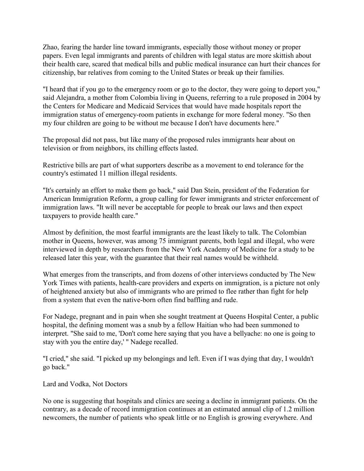Zhao, fearing the harder line toward immigrants, especially those without money or proper papers. Even legal immigrants and parents of children with legal status are more skittish about their health care, scared that medical bills and public medical insurance can hurt their chances for citizenship, bar relatives from coming to the United States or break up their families.

"I heard that if you go to the emergency room or go to the doctor, they were going to deport you," said Alejandra, a mother from Colombia living in Queens, referring to a rule proposed in 2004 by the Centers for Medicare and Medicaid Services that would have made hospitals report the immigration status of emergency-room patients in exchange for more federal money. "So then my four children are going to be without me because I don't have documents here."

The proposal did not pass, but like many of the proposed rules immigrants hear about on television or from neighbors, its chilling effects lasted.

Restrictive bills are part of what supporters describe as a movement to end tolerance for the country's estimated 11 million illegal residents.

"It's certainly an effort to make them go back," said Dan Stein, president of the Federation for American Immigration Reform, a group calling for fewer immigrants and stricter enforcement of immigration laws. "It will never be acceptable for people to break our laws and then expect taxpayers to provide health care."

Almost by definition, the most fearful immigrants are the least likely to talk. The Colombian mother in Queens, however, was among 75 immigrant parents, both legal and illegal, who were interviewed in depth by researchers from the New York Academy of Medicine for a study to be released later this year, with the guarantee that their real names would be withheld.

What emerges from the transcripts, and from dozens of other interviews conducted by The New York Times with patients, health-care providers and experts on immigration, is a picture not only of heightened anxiety but also of immigrants who are primed to flee rather than fight for help from a system that even the native-born often find baffling and rude.

For Nadege, pregnant and in pain when she sought treatment at Queens Hospital Center, a public hospital, the defining moment was a snub by a fellow Haitian who had been summoned to interpret. "She said to me, 'Don't come here saying that you have a bellyache: no one is going to stay with you the entire day,' " Nadege recalled.

"I cried," she said. "I picked up my belongings and left. Even if I was dying that day, I wouldn't go back."

Lard and Vodka, Not Doctors

No one is suggesting that hospitals and clinics are seeing a decline in immigrant patients. On the contrary, as a decade of record immigration continues at an estimated annual clip of 1.2 million newcomers, the number of patients who speak little or no English is growing everywhere. And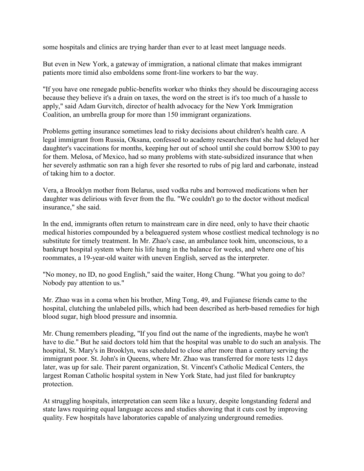some hospitals and clinics are trying harder than ever to at least meet language needs.

But even in New York, a gateway of immigration, a national climate that makes immigrant patients more timid also emboldens some front-line workers to bar the way.

"If you have one renegade public-benefits worker who thinks they should be discouraging access because they believe it's a drain on taxes, the word on the street is it's too much of a hassle to apply," said Adam Gurvitch, director of health advocacy for the New York Immigration Coalition, an umbrella group for more than 150 immigrant organizations.

Problems getting insurance sometimes lead to risky decisions about children's health care. A legal immigrant from Russia, Oksana, confessed to academy researchers that she had delayed her daughter's vaccinations for months, keeping her out of school until she could borrow \$300 to pay for them. Melosa, of Mexico, had so many problems with state-subsidized insurance that when her severely asthmatic son ran a high fever she resorted to rubs of pig lard and carbonate, instead of taking him to a doctor.

Vera, a Brooklyn mother from Belarus, used vodka rubs and borrowed medications when her daughter was delirious with fever from the flu. "We couldn't go to the doctor without medical insurance," she said.

In the end, immigrants often return to mainstream care in dire need, only to have their chaotic medical histories compounded by a beleaguered system whose costliest medical technology is no substitute for timely treatment. In Mr. Zhao's case, an ambulance took him, unconscious, to a bankrupt hospital system where his life hung in the balance for weeks, and where one of his roommates, a 19-year-old waiter with uneven English, served as the interpreter.

"No money, no ID, no good English," said the waiter, Hong Chung. "What you going to do? Nobody pay attention to us."

Mr. Zhao was in a coma when his brother, Ming Tong, 49, and Fujianese friends came to the hospital, clutching the unlabeled pills, which had been described as herb-based remedies for high blood sugar, high blood pressure and insomnia.

Mr. Chung remembers pleading, "If you find out the name of the ingredients, maybe he won't have to die." But he said doctors told him that the hospital was unable to do such an analysis. The hospital, St. Mary's in Brooklyn, was scheduled to close after more than a century serving the immigrant poor. St. John's in Queens, where Mr. Zhao was transferred for more tests 12 days later, was up for sale. Their parent organization, St. Vincent's Catholic Medical Centers, the largest Roman Catholic hospital system in New York State, had just filed for bankruptcy protection.

At struggling hospitals, interpretation can seem like a luxury, despite longstanding federal and state laws requiring equal language access and studies showing that it cuts cost by improving quality. Few hospitals have laboratories capable of analyzing underground remedies.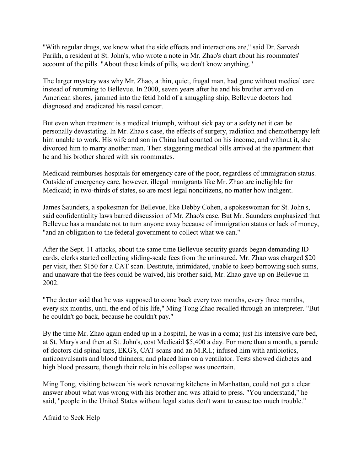"With regular drugs, we know what the side effects and interactions are," said Dr. Sarvesh Parikh, a resident at St. John's, who wrote a note in Mr. Zhao's chart about his roommates' account of the pills. "About these kinds of pills, we don't know anything."

The larger mystery was why Mr. Zhao, a thin, quiet, frugal man, had gone without medical care instead of returning to Bellevue. In 2000, seven years after he and his brother arrived on American shores, jammed into the fetid hold of a smuggling ship, Bellevue doctors had diagnosed and eradicated his nasal cancer.

But even when treatment is a medical triumph, without sick pay or a safety net it can be personally devastating. In Mr. Zhao's case, the effects of surgery, radiation and chemotherapy left him unable to work. His wife and son in China had counted on his income, and without it, she divorced him to marry another man. Then staggering medical bills arrived at the apartment that he and his brother shared with six roommates.

Medicaid reimburses hospitals for emergency care of the poor, regardless of immigration status. Outside of emergency care, however, illegal immigrants like Mr. Zhao are ineligible for Medicaid; in two-thirds of states, so are most legal noncitizens, no matter how indigent.

James Saunders, a spokesman for Bellevue, like Debby Cohen, a spokeswoman for St. John's, said confidentiality laws barred discussion of Mr. Zhao's case. But Mr. Saunders emphasized that Bellevue has a mandate not to turn anyone away because of immigration status or lack of money, "and an obligation to the federal government to collect what we can."

After the Sept. 11 attacks, about the same time Bellevue security guards began demanding ID cards, clerks started collecting sliding-scale fees from the uninsured. Mr. Zhao was charged \$20 per visit, then \$150 for a CAT scan. Destitute, intimidated, unable to keep borrowing such sums, and unaware that the fees could be waived, his brother said, Mr. Zhao gave up on Bellevue in 2002.

"The doctor said that he was supposed to come back every two months, every three months, every six months, until the end of his life," Ming Tong Zhao recalled through an interpreter. "But he couldn't go back, because he couldn't pay."

By the time Mr. Zhao again ended up in a hospital, he was in a coma; just his intensive care bed, at St. Mary's and then at St. John's, cost Medicaid \$5,400 a day. For more than a month, a parade of doctors did spinal taps, EKG's, CAT scans and an M.R.I.; infused him with antibiotics, anticonvulsants and blood thinners; and placed him on a ventilator. Tests showed diabetes and high blood pressure, though their role in his collapse was uncertain.

Ming Tong, visiting between his work renovating kitchens in Manhattan, could not get a clear answer about what was wrong with his brother and was afraid to press. "You understand," he said, "people in the United States without legal status don't want to cause too much trouble."

Afraid to Seek Help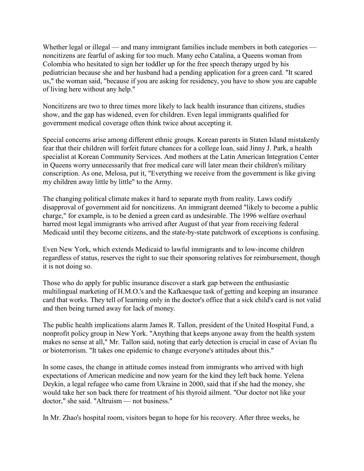Whether legal or illegal — and many immigrant families include members in both categories noncitizens are fearful of asking for too much. Many echo Catalina, a Queens woman from Colombia who hesitated to sign her toddler up for the free speech therapy urged by his pediatrician because she and her husband had a pending application for a green card. "It scared us," the woman said, "because if you are asking for residency, you have to show you are capable of living here without any help."

Noncitizens are two to three times more likely to lack health insurance than citizens, studies show, and the gap has widened, even for children. Even legal immigrants qualified for government medical coverage often think twice about accepting it.

Special concerns arise among different ethnic groups. Korean parents in Staten Island mistakenly fear that their children will forfeit future chances for a college loan, said Jinny J. Park, a health specialist at Korean Community Services. And mothers at the Latin American Integration Center in Queens worry unnecessarily that free medical care will later mean their children's military conscription. As one, Melosa, put it, "Everything we receive from the government is like giving my children away little by little" to the Army.

The changing political climate makes it hard to separate myth from reality. Laws codify disapproval of government aid for noncitizens. An immigrant deemed "likely to become a public charge," for example, is to be denied a green card as undesirable. The 1996 welfare overhaul barred most legal immigrants who arrived after August of that year from receiving federal Medicaid until they become citizens, and the state-by-state patchwork of exceptions is confusing.

Even New York, which extends Medicaid to lawful immigrants and to low-income children regardless of status, reserves the right to sue their sponsoring relatives for reimbursement, though it is not doing so.

Those who do apply for public insurance discover a stark gap between the enthusiastic multilingual marketing of H.M.O.'s and the Kafkaesque task of getting and keeping an insurance card that works. They tell of learning only in the doctor's office that a sick child's card is not valid and then being turned away for lack of money.

The public health implications alarm James R. Tallon, president of the United Hospital Fund, a nonprofit policy group in New York. "Anything that keeps anyone away from the health system makes no sense at all," Mr. Tallon said, noting that early detection is crucial in case of Avian flu or bioterrorism. "It takes one epidemic to change everyone's attitudes about this."

In some cases, the change in attitude comes instead from immigrants who arrived with high expectations of American medicine and now yearn for the kind they left back home. Yelena Deykin, a legal refugee who came from Ukraine in 2000, said that if she had the money, she would take her son back there for treatment of his thyroid ailment. "Our doctor not like your doctor," she said. "Altruism — not business."

In Mr. Zhao's hospital room, visitors began to hope for his recovery. After three weeks, he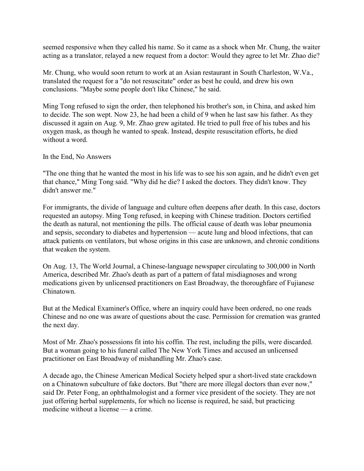seemed responsive when they called his name. So it came as a shock when Mr. Chung, the waiter acting as a translator, relayed a new request from a doctor: Would they agree to let Mr. Zhao die?

Mr. Chung, who would soon return to work at an Asian restaurant in South Charleston, W.Va., translated the request for a "do not resuscitate" order as best he could, and drew his own conclusions. "Maybe some people don't like Chinese," he said.

Ming Tong refused to sign the order, then telephoned his brother's son, in China, and asked him to decide. The son wept. Now 23, he had been a child of 9 when he last saw his father. As they discussed it again on Aug. 9, Mr. Zhao grew agitated. He tried to pull free of his tubes and his oxygen mask, as though he wanted to speak. Instead, despite resuscitation efforts, he died without a word.

In the End, No Answers

"The one thing that he wanted the most in his life was to see his son again, and he didn't even get that chance," Ming Tong said. "Why did he die? I asked the doctors. They didn't know. They didn't answer me."

For immigrants, the divide of language and culture often deepens after death. In this case, doctors requested an autopsy. Ming Tong refused, in keeping with Chinese tradition. Doctors certified the death as natural, not mentioning the pills. The official cause of death was lobar pneumonia and sepsis, secondary to diabetes and hypertension — acute lung and blood infections, that can attack patients on ventilators, but whose origins in this case are unknown, and chronic conditions that weaken the system.

On Aug. 13, The World Journal, a Chinese-language newspaper circulating to 300,000 in North America, described Mr. Zhao's death as part of a pattern of fatal misdiagnoses and wrong medications given by unlicensed practitioners on East Broadway, the thoroughfare of Fujianese Chinatown.

But at the Medical Examiner's Office, where an inquiry could have been ordered, no one reads Chinese and no one was aware of questions about the case. Permission for cremation was granted the next day.

Most of Mr. Zhao's possessions fit into his coffin. The rest, including the pills, were discarded. But a woman going to his funeral called The New York Times and accused an unlicensed practitioner on East Broadway of mishandling Mr. Zhao's case.

A decade ago, the Chinese American Medical Society helped spur a short-lived state crackdown on a Chinatown subculture of fake doctors. But "there are more illegal doctors than ever now," said Dr. Peter Fong, an ophthalmologist and a former vice president of the society. They are not just offering herbal supplements, for which no license is required, he said, but practicing medicine without a license — a crime.